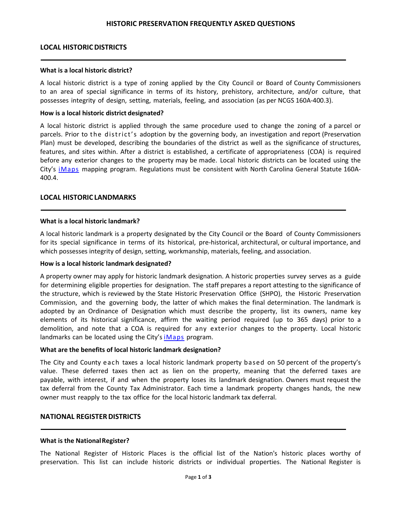## **LOCAL HISTORICDISTRICTS**

#### **What is a local historic district?**

A local historic district is a type of zoning applied by the City Council or Board of County Commissioners to an area of special significance in terms of its history, prehistory, architecture, and/or culture, that possesses integrity of design, setting, materials, feeling, and association (as per NCGS 160A-400.3).

## **How is a local historic district designated?**

A local historic district is applied through the same procedure used to change the zoning of a parcel or parcels. Prior to the district's adoption by the governing body, an investigation and report (Preservation Plan) must be developed, describing the boundaries of the district as well as the significance of structures, features, and sites within. After a district is established, a certificate of appropriateness (COA) is required before any exterior changes to the property may be made. Local historic districts can be located using the City's [iMaps](http://gisweb2.durhamnc.gov/durhammaps/developmenttracker/index.html) mapping program. Regulations must be consistent with North Carolina General Statute 160A-400.4.

## **LOCAL HISTORIC LANDMARKS**

## **What is a local historic landmark?**

A local historic landmark is a property designated by the City Council or the Board of County Commissioners for its special significance in terms of its historical, pre-historical, architectural, or cultural importance, and which possesses integrity of design, setting, workmanship, materials, feeling, and association.

## **How is a local historic landmark designated?**

A property owner may apply for historic landmark designation. A historic properties survey serves as a guide for determining eligible properties for designation. The staff prepares a report attesting to the significance of the structure, which is reviewed by the State Historic Preservation Office (SHPO), the Historic Preservation Commission, and the governing body, the latter of which makes the final determination. The landmark is adopted by an Ordinance of Designation which must describe the property, list its owners, name key elements of its historical significance, affirm the waiting period required (up to 365 days) prior to a demolition, and note that a COA is required for any exterior changes to the property. Local historic landmarks can be located using the City's  $i$ Maps program.

## **What are the benefits of local historic landmark designation?**

The City and County each taxes a local historic landmark property based on 50 percent of the property's value. These deferred taxes then act as lien on the property, meaning that the deferred taxes are payable, with interest, if and when the property loses its landmark designation. Owners must request the tax deferral from the County Tax Administrator. Each time a landmark property changes hands, the new owner must reapply to the tax office for the local historic landmark tax deferral.

## **NATIONAL REGISTERDISTRICTS**

## **What is the NationalRegister?**

The National Register of Historic Places is the official list of the Nation's historic places worthy of preservation. This list can include historic districts or individual properties. The National Register is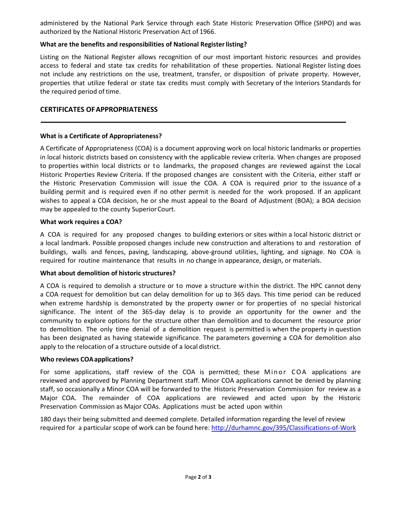administered by the National Park Service through each State Historic Preservation Office (SHPO) and was authorized by the National Historic Preservation Act of 1966.

# **What are the benefits and responsibilities of National Registerlisting?**

Listing on the National Register allows recognition of our most important historic resources and provides access to federal and state tax credits for rehabilitation of these properties. National Register listing does not include any restrictions on the use, treatment, transfer, or disposition of private property. However, properties that utilize federal or state tax credits must comply with Secretary of the Interiors Standards for the required period of time.

# **CERTIFICATES OFAPPROPRIATENESS**

# **What is a Certificate of Appropriateness?**

A Certificate of Appropriateness (COA) is a document approving work on local historic landmarks or properties in local historic districts based on consistency with the applicable review criteria. When changes are proposed to properties within local districts or to landmarks, the proposed changes are reviewed against the Local Historic Properties Review Criteria. If the proposed changes are consistent with the Criteria, either staff or the Historic Preservation Commission will issue the COA. A COA is required prior to the issuance of a building permit and is required even if no other permit is needed for the work proposed. If an applicant wishes to appeal a COA decision, he or she must appeal to the Board of Adjustment (BOA); a BOA decision may be appealed to the county Superior Court.

# **What work requires a COA?**

A COA is required for any proposed changes to building exteriors or sites within a local historic district or a local landmark. Possible proposed changes include new construction and alterations to and restoration of buildings, walls and fences, paving, landscaping, above-ground utilities, lighting, and signage. No COA is required for routine maintenance that results in no change in appearance, design, or materials.

# **What about demolition of historic structures?**

A COA is required to demolish a structure or to move a structure within the district. The HPC cannot deny a COA request for demolition but can delay demolition for up to 365 days. This time period can be reduced when extreme hardship is demonstrated by the property owner or for properties of no special historical significance. The intent of the 365-day delay is to provide an opportunity for the owner and the community to explore options for the structure other than demolition and to document the resource prior to demolition. The only time denial of a demolition request is permitted is when the property in question has been designated as having statewide significance. The parameters governing a COA for demolition also apply to the relocation of a structure outside of a local district.

# **Who reviews COAapplications?**

For some applications, staff review of the COA is permitted; these Minor COA applications are reviewed and approved by Planning Department staff. Minor COA applications cannot be denied by planning staff, so occasionally a Minor COA will be forwarded to the Historic Preservation Commission for review as a Major COA. The remainder of COA applications are reviewed and acted upon by the Historic Preservation Commission as Major COAs. Applications must be acted upon within

180 days their being submitted and deemed complete. Detailed information regarding the level of review required for a particular scope of work can be found here:<http://durhamnc.gov/395/Classifications-of-Work>